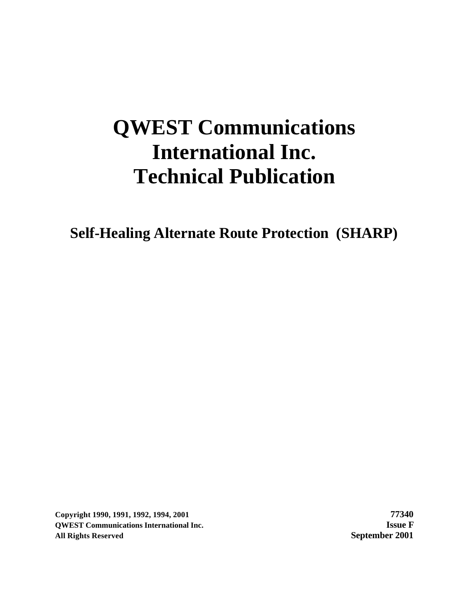# **QWEST Communications International Inc. Technical Publication**

**Self-Healing Alternate Route Protection (SHARP)**

**Copyright 1990, 1991, 1992, 1994, 2001 77340 QWEST Communications International Inc. Issue F All Rights Reserved September 2001**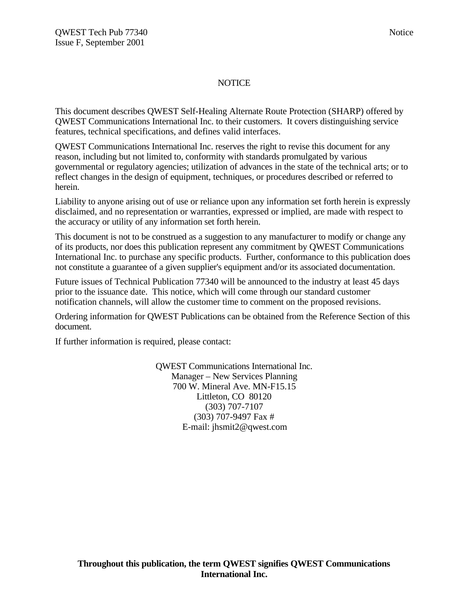#### NOTICE

This document describes QWEST Self-Healing Alternate Route Protection (SHARP) offered by QWEST Communications International Inc. to their customers. It covers distinguishing service features, technical specifications, and defines valid interfaces.

QWEST Communications International Inc. reserves the right to revise this document for any reason, including but not limited to, conformity with standards promulgated by various governmental or regulatory agencies; utilization of advances in the state of the technical arts; or to reflect changes in the design of equipment, techniques, or procedures described or referred to herein.

Liability to anyone arising out of use or reliance upon any information set forth herein is expressly disclaimed, and no representation or warranties, expressed or implied, are made with respect to the accuracy or utility of any information set forth herein.

This document is not to be construed as a suggestion to any manufacturer to modify or change any of its products, nor does this publication represent any commitment by QWEST Communications International Inc. to purchase any specific products. Further, conformance to this publication does not constitute a guarantee of a given supplier's equipment and/or its associated documentation.

Future issues of Technical Publication 77340 will be announced to the industry at least 45 days prior to the issuance date. This notice, which will come through our standard customer notification channels, will allow the customer time to comment on the proposed revisions.

Ordering information for QWEST Publications can be obtained from the Reference Section of this document.

If further information is required, please contact:

QWEST Communications International Inc. Manager – New Services Planning 700 W. Mineral Ave. MN-F15.15 Littleton, CO 80120 (303) 707-7107 (303) 707-9497 Fax # E-mail: jhsmit2@qwest.com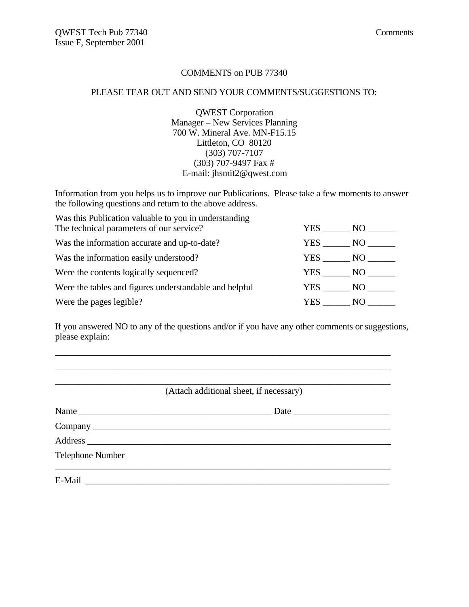#### COMMENTS on PUB 77340

#### PLEASE TEAR OUT AND SEND YOUR COMMENTS/SUGGESTIONS TO:

QWEST Corporation Manager – New Services Planning 700 W. Mineral Ave. MN-F15.15 Littleton, CO 80120 (303) 707-7107 (303) 707-9497 Fax # E-mail: jhsmit2@qwest.com

Information from you helps us to improve our Publications. Please take a few moments to answer the following questions and return to the above address.

| Was this Publication valuable to you in understanding  |        |       |
|--------------------------------------------------------|--------|-------|
| The technical parameters of our service?               | YES .  | NO -  |
| Was the information accurate and up-to-date?           | YES .  | NO.   |
| Was the information easily understood?                 | YES    | NO    |
| Were the contents logically sequenced?                 | YES    | NO 11 |
| Were the tables and figures understandable and helpful | YES NO |       |
| Were the pages legible?                                | YES.   | NO.   |

If you answered NO to any of the questions and/or if you have any other comments or suggestions, please explain:

\_\_\_\_\_\_\_\_\_\_\_\_\_\_\_\_\_\_\_\_\_\_\_\_\_\_\_\_\_\_\_\_\_\_\_\_\_\_\_\_\_\_\_\_\_\_\_\_\_\_\_\_\_\_\_\_\_\_\_\_\_\_\_\_\_\_\_\_\_\_\_\_\_

|                  | (Attach additional sheet, if necessary) |
|------------------|-----------------------------------------|
| Name             |                                         |
|                  |                                         |
|                  |                                         |
| Telephone Number |                                         |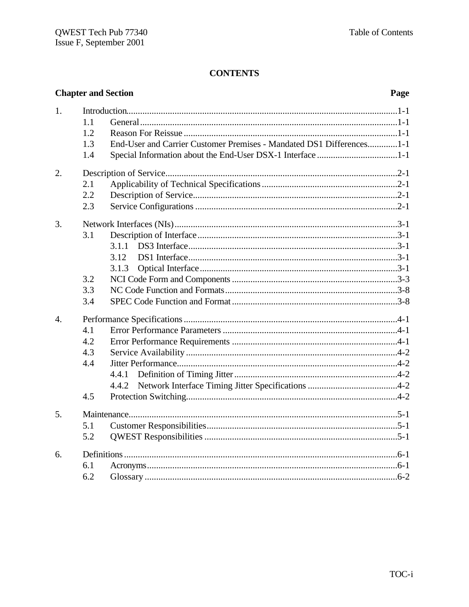# **CONTENTS**

|                  | <b>Chapter and Section</b> |                                                                      | Page |
|------------------|----------------------------|----------------------------------------------------------------------|------|
| 1.               |                            |                                                                      |      |
|                  | 1.1                        |                                                                      |      |
|                  | 1.2                        |                                                                      |      |
|                  | 1.3                        | End-User and Carrier Customer Premises - Mandated DS1 Differences1-1 |      |
|                  | 1.4                        |                                                                      |      |
| $\overline{2}$ . |                            |                                                                      |      |
|                  | 2.1                        |                                                                      |      |
|                  | 2.2                        |                                                                      |      |
|                  | 2.3                        |                                                                      |      |
| 3.               |                            |                                                                      |      |
|                  | 3.1                        |                                                                      |      |
|                  |                            | 3.1.1                                                                |      |
|                  |                            | 3.12                                                                 |      |
|                  |                            | 3.1.3                                                                |      |
|                  | 3.2                        |                                                                      |      |
|                  | 3.3                        |                                                                      |      |
|                  | 3.4                        |                                                                      |      |
| $\mathbf{4}$     |                            |                                                                      |      |
|                  | 4.1                        |                                                                      |      |
|                  | 4.2                        |                                                                      |      |
|                  | 4.3                        |                                                                      |      |
|                  | 4.4                        |                                                                      |      |
|                  |                            | 4.4.1                                                                |      |
|                  |                            | 4.4.2                                                                |      |
|                  | 4.5                        |                                                                      |      |
| 5.               |                            |                                                                      |      |
|                  | 5.1                        |                                                                      |      |
|                  | 5.2                        |                                                                      |      |
| 6.               |                            |                                                                      |      |
|                  | 6.1                        |                                                                      |      |
|                  | 6.2                        |                                                                      |      |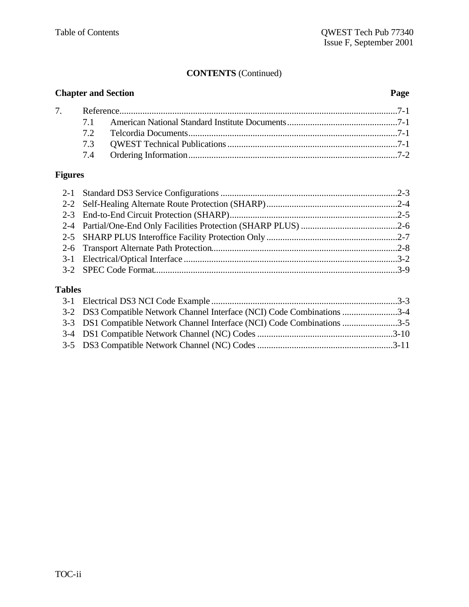# **CONTENTS** (Continued)

| <b>Chapter and Section</b> |  |  | Page |
|----------------------------|--|--|------|
|                            |  |  |      |
|                            |  |  |      |
|                            |  |  |      |
|                            |  |  |      |
|                            |  |  |      |

# **Figures**

# **Tables**

| 3-2 DS3 Compatible Network Channel Interface (NCI) Code Combinations 3-4 |  |
|--------------------------------------------------------------------------|--|
| 3-3 DS1 Compatible Network Channel Interface (NCI) Code Combinations 3-5 |  |
|                                                                          |  |
|                                                                          |  |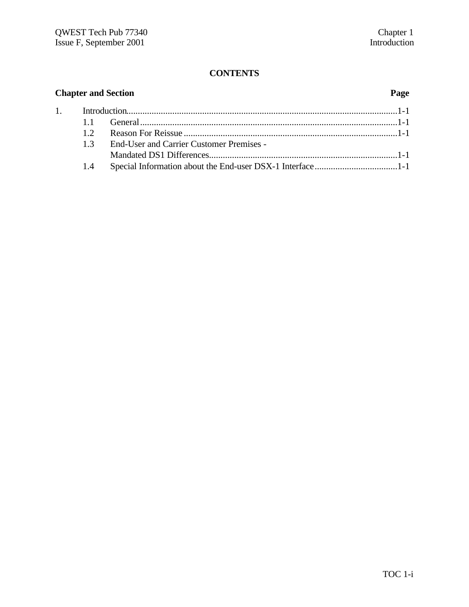# **CONTENTS**

| <b>Chapter and Section</b> |     | Page                                            |  |
|----------------------------|-----|-------------------------------------------------|--|
|                            |     |                                                 |  |
|                            | 11  |                                                 |  |
|                            | 12  |                                                 |  |
|                            | 13  | <b>End-User and Carrier Customer Premises -</b> |  |
|                            |     |                                                 |  |
|                            | 1.4 |                                                 |  |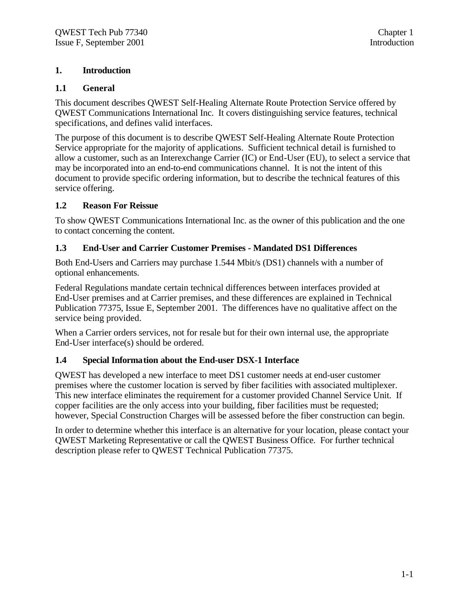#### **1. Introduction**

#### **1.1 General**

This document describes QWEST Self-Healing Alternate Route Protection Service offered by QWEST Communications International Inc. It covers distinguishing service features, technical specifications, and defines valid interfaces.

The purpose of this document is to describe QWEST Self-Healing Alternate Route Protection Service appropriate for the majority of applications. Sufficient technical detail is furnished to allow a customer, such as an Interexchange Carrier (IC) or End-User (EU), to select a service that may be incorporated into an end-to-end communications channel. It is not the intent of this document to provide specific ordering information, but to describe the technical features of this service offering.

#### **1.2 Reason For Reissue**

To show QWEST Communications International Inc. as the owner of this publication and the one to contact concerning the content.

#### **1.3 End-User and Carrier Customer Premises - Mandated DS1 Differences**

Both End-Users and Carriers may purchase 1.544 Mbit/s (DS1) channels with a number of optional enhancements.

Federal Regulations mandate certain technical differences between interfaces provided at End-User premises and at Carrier premises, and these differences are explained in Technical Publication 77375, Issue E, September 2001. The differences have no qualitative affect on the service being provided.

When a Carrier orders services, not for resale but for their own internal use, the appropriate End-User interface(s) should be ordered.

#### **1.4 Special Information about the End-user DSX-1 Interface**

QWEST has developed a new interface to meet DS1 customer needs at end-user customer premises where the customer location is served by fiber facilities with associated multiplexer. This new interface eliminates the requirement for a customer provided Channel Service Unit. If copper facilities are the only access into your building, fiber facilities must be requested; however, Special Construction Charges will be assessed before the fiber construction can begin.

In order to determine whether this interface is an alternative for your location, please contact your QWEST Marketing Representative or call the QWEST Business Office. For further technical description please refer to QWEST Technical Publication 77375.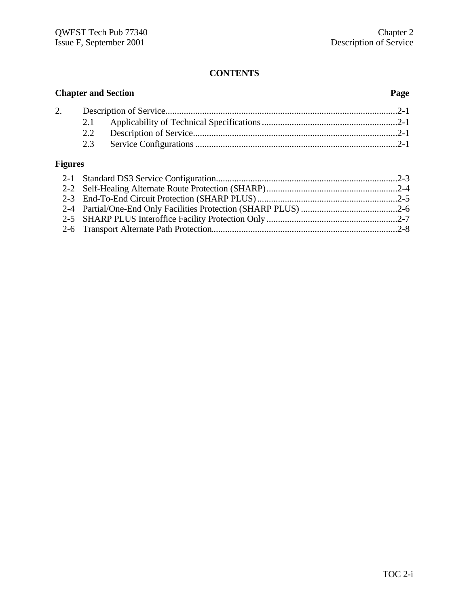### **CONTENTS**

| <b>Chapter and Section</b> |     |  | Page |
|----------------------------|-----|--|------|
| 2.                         |     |  |      |
|                            | 2.1 |  |      |
|                            | 2.2 |  |      |
|                            | 2.3 |  |      |
| <b>Figures</b>             |     |  |      |
|                            |     |  |      |
|                            |     |  |      |
|                            |     |  |      |
|                            |     |  |      |

2-5 SHARP PLUS Interoffice Facility Protection Only .........................................................2-7 2-6 Transport Alternate Path Protection.................................................................................2-8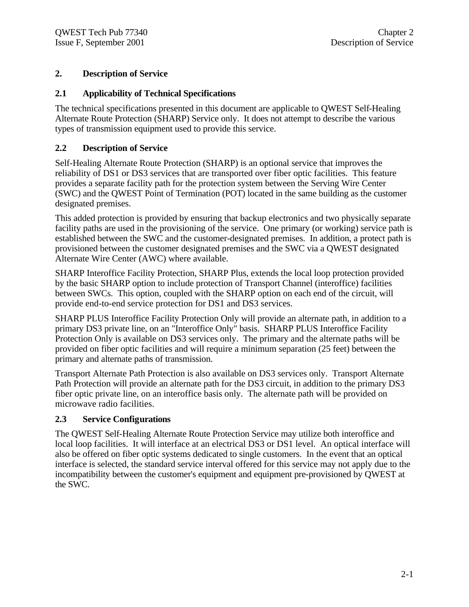# **2. Description of Service**

#### **2.1 Applicability of Technical Specifications**

The technical specifications presented in this document are applicable to QWEST Self-Healing Alternate Route Protection (SHARP) Service only. It does not attempt to describe the various types of transmission equipment used to provide this service.

#### **2.2 Description of Service**

Self-Healing Alternate Route Protection (SHARP) is an optional service that improves the reliability of DS1 or DS3 services that are transported over fiber optic facilities. This feature provides a separate facility path for the protection system between the Serving Wire Center (SWC) and the QWEST Point of Termination (POT) located in the same building as the customer designated premises.

This added protection is provided by ensuring that backup electronics and two physically separate facility paths are used in the provisioning of the service. One primary (or working) service path is established between the SWC and the customer-designated premises. In addition, a protect path is provisioned between the customer designated premises and the SWC via a QWEST designated Alternate Wire Center (AWC) where available.

SHARP Interoffice Facility Protection, SHARP Plus, extends the local loop protection provided by the basic SHARP option to include protection of Transport Channel (interoffice) facilities between SWCs. This option, coupled with the SHARP option on each end of the circuit, will provide end-to-end service protection for DS1 and DS3 services.

SHARP PLUS Interoffice Facility Protection Only will provide an alternate path, in addition to a primary DS3 private line, on an "Interoffice Only" basis. SHARP PLUS Interoffice Facility Protection Only is available on DS3 services only. The primary and the alternate paths will be provided on fiber optic facilities and will require a minimum separation (25 feet) between the primary and alternate paths of transmission.

Transport Alternate Path Protection is also available on DS3 services only. Transport Alternate Path Protection will provide an alternate path for the DS3 circuit, in addition to the primary DS3 fiber optic private line, on an interoffice basis only. The alternate path will be provided on microwave radio facilities.

#### **2.3 Service Configurations**

The QWEST Self-Healing Alternate Route Protection Service may utilize both interoffice and local loop facilities. It will interface at an electrical DS3 or DS1 level. An optical interface will also be offered on fiber optic systems dedicated to single customers. In the event that an optical interface is selected, the standard service interval offered for this service may not apply due to the incompatibility between the customer's equipment and equipment pre-provisioned by QWEST at the SWC.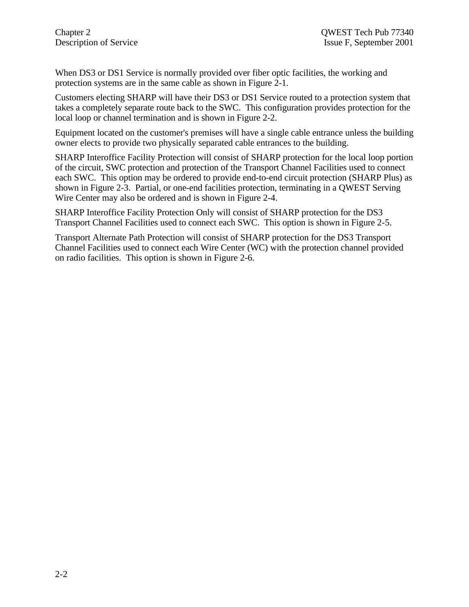When DS3 or DS1 Service is normally provided over fiber optic facilities, the working and protection systems are in the same cable as shown in Figure 2-1.

Customers electing SHARP will have their DS3 or DS1 Service routed to a protection system that takes a completely separate route back to the SWC. This configuration provides protection for the local loop or channel termination and is shown in Figure 2-2.

Equipment located on the customer's premises will have a single cable entrance unless the building owner elects to provide two physically separated cable entrances to the building.

SHARP Interoffice Facility Protection will consist of SHARP protection for the local loop portion of the circuit, SWC protection and protection of the Transport Channel Facilities used to connect each SWC. This option may be ordered to provide end-to-end circuit protection (SHARP Plus) as shown in Figure 2-3. Partial, or one-end facilities protection, terminating in a QWEST Serving Wire Center may also be ordered and is shown in Figure 2-4.

SHARP Interoffice Facility Protection Only will consist of SHARP protection for the DS3 Transport Channel Facilities used to connect each SWC. This option is shown in Figure 2-5.

Transport Alternate Path Protection will consist of SHARP protection for the DS3 Transport Channel Facilities used to connect each Wire Center (WC) with the protection channel provided on radio facilities. This option is shown in Figure 2-6.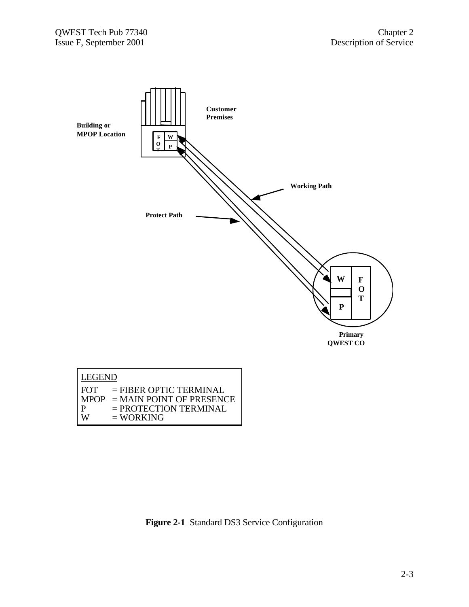

**Figure 2-1** Standard DS3 Service Configuration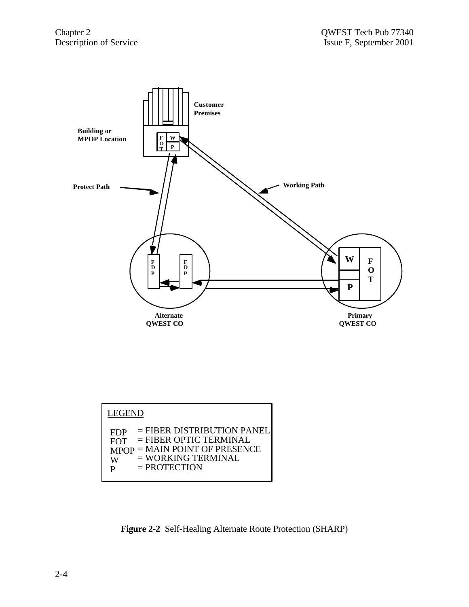

| <b>FDP</b> | $=$ FIBER DISTRIBUTION PANEL    |
|------------|---------------------------------|
| <b>FOT</b> | $=$ FIBER OPTIC TERMINAL        |
|            | $MPOP = MAIN POINT OF PRESENCE$ |
| W          | $=$ WORKING TERMINAL            |
| P          | $=$ PROTECTION                  |
|            |                                 |

**Figure 2-2** Self-Healing Alternate Route Protection (SHARP)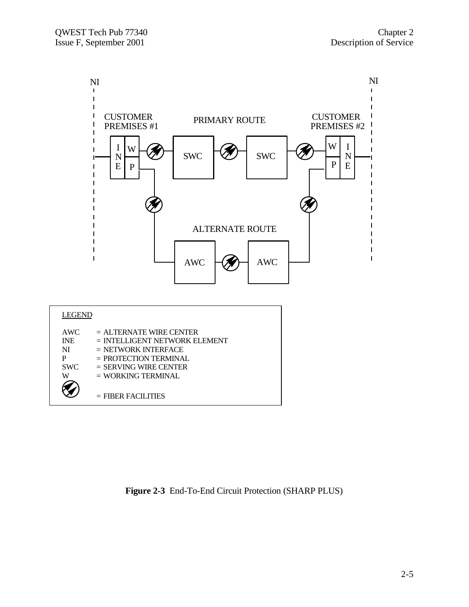

**Figure 2-3** End-To-End Circuit Protection (SHARP PLUS)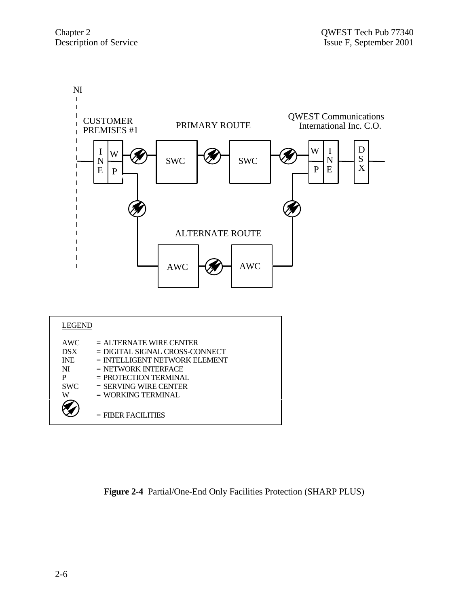

**Figure 2-4** Partial/One-End Only Facilities Protection (SHARP PLUS)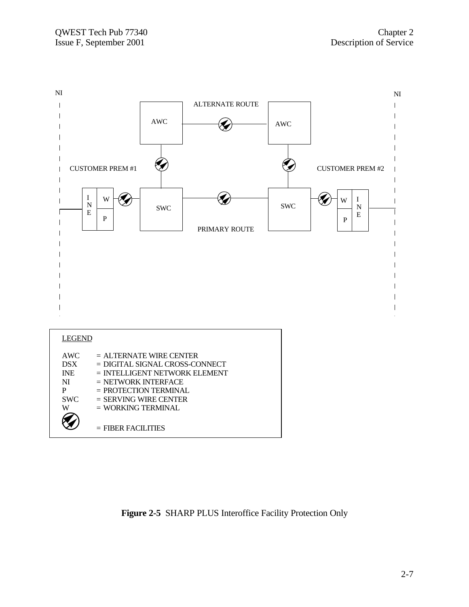

**Figure 2-5** SHARP PLUS Interoffice Facility Protection Only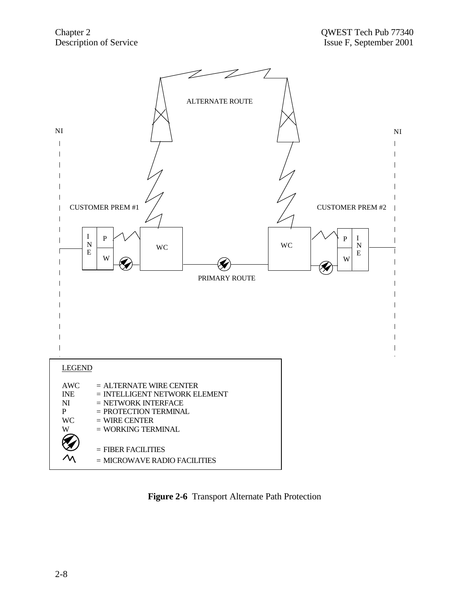

**Figure 2-6** Transport Alternate Path Protection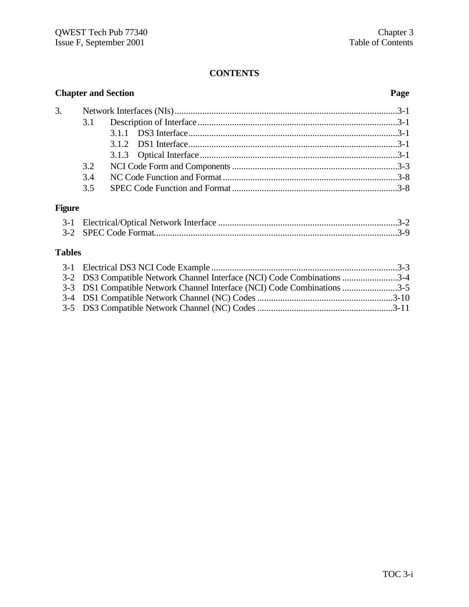# **CONTENTS**

| <b>Chapter and Section</b> |  |
|----------------------------|--|
|                            |  |
|                            |  |
|                            |  |
|                            |  |
|                            |  |
|                            |  |
|                            |  |
|                            |  |
|                            |  |

# **Figure**

# **Tables**

| 3-2 DS3 Compatible Network Channel Interface (NCI) Code Combinations 3-4 |  |
|--------------------------------------------------------------------------|--|
| 3-3 DS1 Compatible Network Channel Interface (NCI) Code Combinations 3-5 |  |
|                                                                          |  |
|                                                                          |  |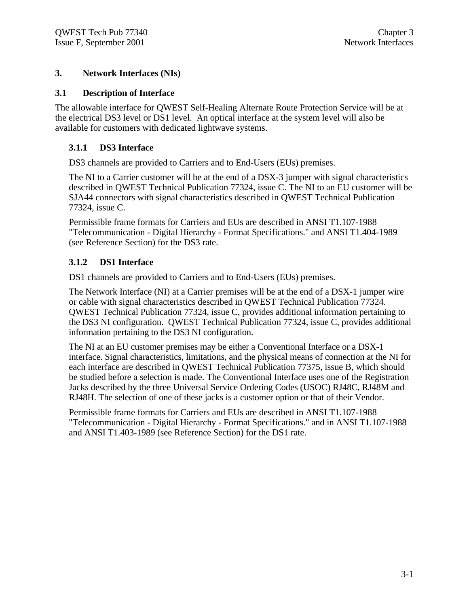#### **3. Network Interfaces (NIs)**

#### **3.1 Description of Interface**

The allowable interface for QWEST Self-Healing Alternate Route Protection Service will be at the electrical DS3 level or DS1 level. An optical interface at the system level will also be available for customers with dedicated lightwave systems.

# **3.1.1 DS3 Interface**

DS3 channels are provided to Carriers and to End-Users (EUs) premises.

The NI to a Carrier customer will be at the end of a DSX-3 jumper with signal characteristics described in QWEST Technical Publication 77324, issue C. The NI to an EU customer will be SJA44 connectors with signal characteristics described in QWEST Technical Publication 77324, issue C.

Permissible frame formats for Carriers and EUs are described in ANSI T1.107-1988 "Telecommunication - Digital Hierarchy - Format Specifications." and ANSI T1.404-1989 (see Reference Section) for the DS3 rate.

# **3.1.2 DS1 Interface**

DS1 channels are provided to Carriers and to End-Users (EUs) premises.

The Network Interface (NI) at a Carrier premises will be at the end of a DSX-1 jumper wire or cable with signal characteristics described in QWEST Technical Publication 77324. QWEST Technical Publication 77324, issue C, provides additional information pertaining to the DS3 NI configuration. QWEST Technical Publication 77324, issue C, provides additional information pertaining to the DS3 NI configuration.

The NI at an EU customer premises may be either a Conventional Interface or a DSX-1 interface. Signal characteristics, limitations, and the physical means of connection at the NI for each interface are described in QWEST Technical Publication 77375, issue B, which should be studied before a selection is made. The Conventional Interface uses one of the Registration Jacks described by the three Universal Service Ordering Codes (USOC) RJ48C, RJ48M and RJ48H. The selection of one of these jacks is a customer option or that of their Vendor.

Permissible frame formats for Carriers and EUs are described in ANSI T1.107-1988 "Telecommunication - Digital Hierarchy - Format Specifications." and in ANSI T1.107-1988 and ANSI T1.403-1989 (see Reference Section) for the DS1 rate.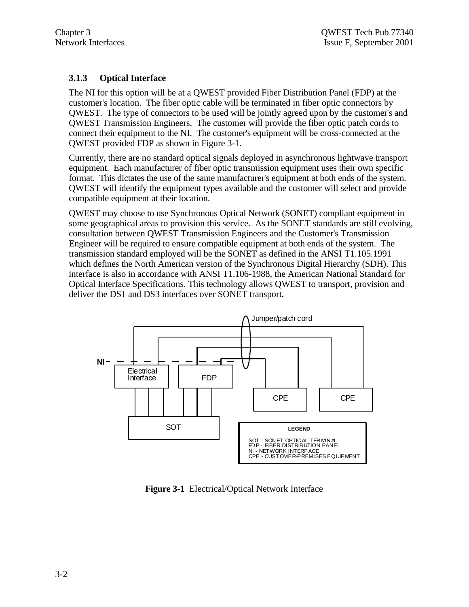# **3.1.3 Optical Interface**

The NI for this option will be at a QWEST provided Fiber Distribution Panel (FDP) at the customer's location. The fiber optic cable will be terminated in fiber optic connectors by QWEST. The type of connectors to be used will be jointly agreed upon by the customer's and QWEST Transmission Engineers. The customer will provide the fiber optic patch cords to connect their equipment to the NI. The customer's equipment will be cross-connected at the QWEST provided FDP as shown in Figure 3-1.

Currently, there are no standard optical signals deployed in asynchronous lightwave transport equipment. Each manufacturer of fiber optic transmission equipment uses their own specific format. This dictates the use of the same manufacturer's equipment at both ends of the system. QWEST will identify the equipment types available and the customer will select and provide compatible equipment at their location.

QWEST may choose to use Synchronous Optical Network (SONET) compliant equipment in some geographical areas to provision this service. As the SONET standards are still evolving, consultation between QWEST Transmission Engineers and the Customer's Transmission Engineer will be required to ensure compatible equipment at both ends of the system. The transmission standard employed will be the SONET as defined in the ANSI T1.105.1991 which defines the North American version of the Synchronous Digital Hierarchy (SDH). This interface is also in accordance with ANSI T1.106-1988, the American National Standard for Optical Interface Specifications. This technology allows QWEST to transport, provision and deliver the DS1 and DS3 interfaces over SONET transport.



**Figure 3-1** Electrical/Optical Network Interface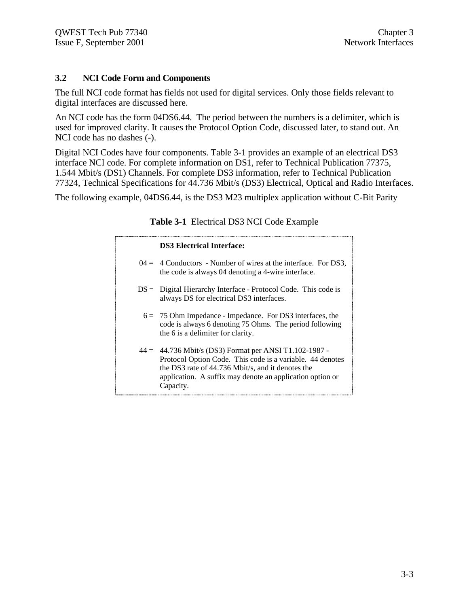#### **3.2 NCI Code Form and Components**

The full NCI code format has fields not used for digital services. Only those fields relevant to digital interfaces are discussed here.

An NCI code has the form 04DS6.44. The period between the numbers is a delimiter, which is used for improved clarity. It causes the Protocol Option Code, discussed later, to stand out. An NCI code has no dashes (-).

Digital NCI Codes have four components. Table 3-1 provides an example of an electrical DS3 interface NCI code. For complete information on DS1, refer to Technical Publication 77375, 1.544 Mbit/s (DS1) Channels. For complete DS3 information, refer to Technical Publication 77324, Technical Specifications for 44.736 Mbit/s (DS3) Electrical, Optical and Radio Interfaces.

The following example, 04DS6.44, is the DS3 M23 multiplex application without C-Bit Parity

| <b>DS3</b> Electrical Interface:                                                                                                                                                                                                                     |
|------------------------------------------------------------------------------------------------------------------------------------------------------------------------------------------------------------------------------------------------------|
| $04 = 4$ Conductors - Number of wires at the interface. For DS3,<br>the code is always 04 denoting a 4-wire interface.                                                                                                                               |
| $DS =$ Digital Hierarchy Interface - Protocol Code. This code is<br>always DS for electrical DS3 interfaces.                                                                                                                                         |
| $6 = 75$ Ohm Impedance - Impedance. For DS3 interfaces, the<br>code is always 6 denoting 75 Ohms. The period following<br>the 6 is a delimiter for clarity.                                                                                          |
| $44 = 44.736$ Mbit/s (DS3) Format per ANSI T1.102-1987 -<br>Protocol Option Code. This code is a variable. 44 denotes<br>the DS3 rate of 44.736 Mbit/s, and it denotes the<br>application. A suffix may denote an application option or<br>Capacity. |

#### **Table 3-1** Electrical DS3 NCI Code Example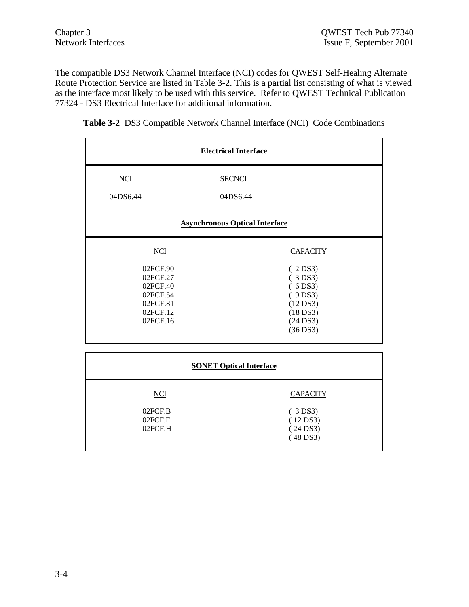The compatible DS3 Network Channel Interface (NCI) codes for QWEST Self-Healing Alternate Route Protection Service are listed in Table 3-2. This is a partial list consisting of what is viewed as the interface most likely to be used with this service. Refer to QWEST Technical Publication 77324 - DS3 Electrical Interface for additional information.

| <b>Table 3-2</b> DS3 Compatible Network Channel Interface (NCI) Code Combinations |
|-----------------------------------------------------------------------------------|
|-----------------------------------------------------------------------------------|

| <b>Electrical Interface</b>                                                                    |                                       |                                                                                                                   |  |  |  |  |
|------------------------------------------------------------------------------------------------|---------------------------------------|-------------------------------------------------------------------------------------------------------------------|--|--|--|--|
| <b>NCI</b><br>04DS6.44                                                                         | <b>SECNCI</b>                         | 04DS6.44                                                                                                          |  |  |  |  |
|                                                                                                | <b>Asynchronous Optical Interface</b> |                                                                                                                   |  |  |  |  |
| <b>NCI</b><br>02FCF.90<br>02FCF.27<br>02FCF.40<br>02FCF.54<br>02FCF.81<br>02FCF.12<br>02FCF.16 |                                       | <b>CAPACITY</b><br>(2DS3)<br>(3DS3)<br>(6DS3)<br>(9DS3)<br>$(12\,\text{DS}3)$<br>$(18$ DS3)<br>(24DS3)<br>(36DS3) |  |  |  |  |

| <b>SONET Optical Interface</b> |                                         |  |  |  |  |
|--------------------------------|-----------------------------------------|--|--|--|--|
| <b>NCI</b>                     | <b>CAPACITY</b>                         |  |  |  |  |
| 02FCF.B<br>02FCF.F<br>02FCF.H  | (3DS3)<br>(12DS3)<br>(24DS3)<br>(48DS3) |  |  |  |  |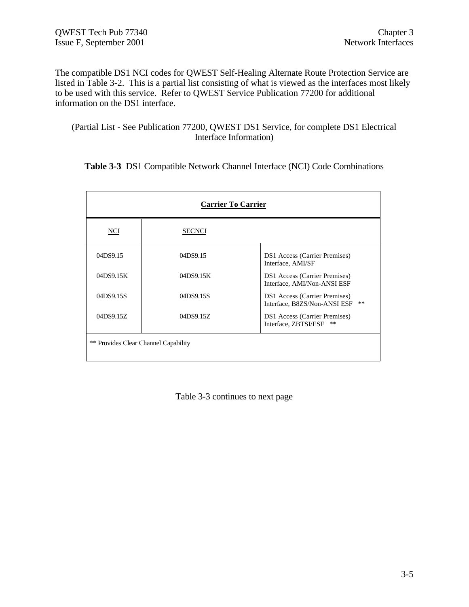The compatible DS1 NCI codes for QWEST Self-Healing Alternate Route Protection Service are listed in Table 3-2. This is a partial list consisting of what is viewed as the interfaces most likely to be used with this service. Refer to QWEST Service Publication 77200 for additional information on the DS1 interface.

(Partial List - See Publication 77200, QWEST DS1 Service, for complete DS1 Electrical Interface Information)

**Table 3-3** DS1 Compatible Network Channel Interface (NCI) Code Combinations

| <b>Carrier To Carrier</b>            |               |                                                                              |  |  |  |
|--------------------------------------|---------------|------------------------------------------------------------------------------|--|--|--|
| NCI                                  | <b>SECNCI</b> |                                                                              |  |  |  |
| 04DS9.15                             | 04DS9.15      | DS1 Access (Carrier Premises)<br>Interface, AMI/SF                           |  |  |  |
| 04DS9.15K                            | 04DS9.15K     | <b>DS1</b> Access (Carrier Premises)<br>Interface, AMI/Non-ANSI ESF          |  |  |  |
| 04DS9.15S                            | 04DS9.15S     | <b>DS1</b> Access (Carrier Premises)<br>$**$<br>Interface, B8ZS/Non-ANSI ESF |  |  |  |
| 04DS9.15Z                            | 04DS9.15Z     | <b>DS1</b> Access (Carrier Premises)<br>**<br>Interface, ZBTSI/ESF           |  |  |  |
| ** Provides Clear Channel Capability |               |                                                                              |  |  |  |

Table 3-3 continues to next page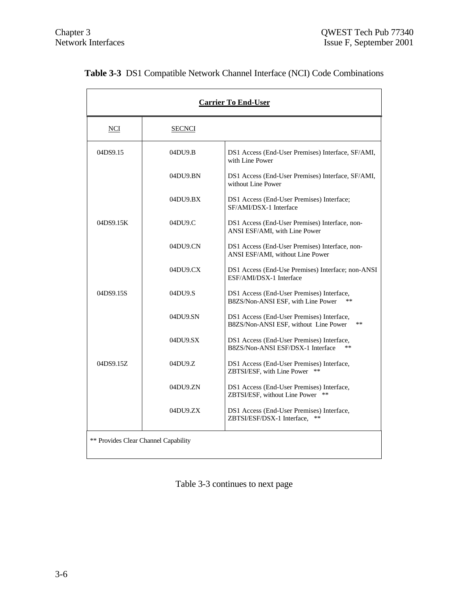| <b>Carrier To End-User</b>           |               |                                                                                            |  |  |  |
|--------------------------------------|---------------|--------------------------------------------------------------------------------------------|--|--|--|
| NCI                                  | <b>SECNCI</b> |                                                                                            |  |  |  |
| 04DS9.15                             | 04DU9.B       | DS1 Access (End-User Premises) Interface, SF/AMI,<br>with Line Power                       |  |  |  |
|                                      | 04DU9.BN      | DS1 Access (End-User Premises) Interface, SF/AMI,<br>without Line Power                    |  |  |  |
|                                      | 04DU9.BX      | DS1 Access (End-User Premises) Interface;<br>SF/AMI/DSX-1 Interface                        |  |  |  |
| 04DS9.15K                            | 04DU9.C       | DS1 Access (End-User Premises) Interface, non-<br>ANSI ESF/AMI, with Line Power            |  |  |  |
|                                      | 04DU9.CN      | DS1 Access (End-User Premises) Interface, non-<br>ANSI ESF/AMI, without Line Power         |  |  |  |
|                                      | 04DU9.CX      | DS1 Access (End-Use Premises) Interface; non-ANSI<br>ESF/AMI/DSX-1 Interface               |  |  |  |
| 04DS9.15S                            | 04DU9.S       | DS1 Access (End-User Premises) Interface,<br>B8ZS/Non-ANSI ESF, with Line Power            |  |  |  |
|                                      | 04DU9.SN      | DS1 Access (End-User Premises) Interface,<br>$**$<br>B8ZS/Non-ANSI ESF, without Line Power |  |  |  |
|                                      | 04DU9.SX      | DS1 Access (End-User Premises) Interface,<br>B8ZS/Non-ANSI ESF/DSX-1 Interface<br>**       |  |  |  |
| 04DS9.15Z                            | 04DU9.Z       | DS1 Access (End-User Premises) Interface,<br>ZBTSI/ESF, with Line Power                    |  |  |  |
|                                      | 04DU9.ZN      | DS1 Access (End-User Premises) Interface,<br>ZBTSI/ESF, without Line Power **              |  |  |  |
|                                      | 04DU9.ZX      | DS1 Access (End-User Premises) Interface,<br>ZBTSI/ESF/DSX-1 Interface.<br>$**$            |  |  |  |
| ** Provides Clear Channel Capability |               |                                                                                            |  |  |  |

# **Table 3-3** DS1 Compatible Network Channel Interface (NCI) Code Combinations

Table 3-3 continues to next page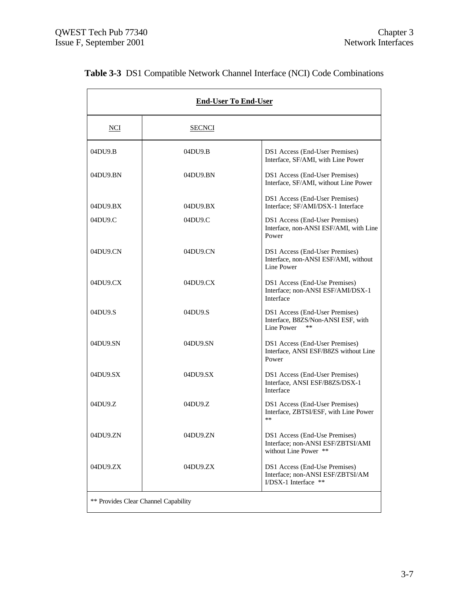| <b>End-User To End-User</b>          |               |                                                                                             |  |  |  |
|--------------------------------------|---------------|---------------------------------------------------------------------------------------------|--|--|--|
| <b>NCI</b>                           | <b>SECNCI</b> |                                                                                             |  |  |  |
| 04DU9.B                              | 04DU9.B       | DS1 Access (End-User Premises)<br>Interface, SF/AMI, with Line Power                        |  |  |  |
| 04DU9.BN                             | 04DU9.BN      | DS1 Access (End-User Premises)<br>Interface, SF/AMI, without Line Power                     |  |  |  |
| 04DU9.BX                             | 04DU9.BX      | DS1 Access (End-User Premises)<br>Interface; SF/AMI/DSX-1 Interface                         |  |  |  |
| 04DU9.C                              | 04DU9.C       | DS1 Access (End-User Premises)<br>Interface, non-ANSI ESF/AMI, with Line<br>Power           |  |  |  |
| 04DU9.CN                             | 04DU9.CN      | DS1 Access (End-User Premises)<br>Interface, non-ANSI ESF/AMI, without<br>Line Power        |  |  |  |
| 04DU9.CX                             | 04DU9.CX      | DS1 Access (End-Use Premises)<br>Interface; non-ANSI ESF/AMI/DSX-1<br>Interface             |  |  |  |
| 04DU9.S                              | 04DU9.S       | DS1 Access (End-User Premises)<br>Interface, B8ZS/Non-ANSI ESF, with<br>Line Power<br>$***$ |  |  |  |
| 04DU9.SN                             | 04DU9.SN      | DS1 Access (End-User Premises)<br>Interface, ANSI ESF/B8ZS without Line<br>Power            |  |  |  |
| 04DU9.SX                             | 04DU9.SX      | DS1 Access (End-User Premises)<br>Interface, ANSI ESF/B8ZS/DSX-1<br>Interface               |  |  |  |
| 04DU9.Z                              | 04DU9.Z       | DS1 Access (End-User Premises)<br>Interface, ZBTSI/ESF, with Line Power<br>$**$             |  |  |  |
| 04DU9.ZN                             | 04DU9.ZN      | DS1 Access (End-Use Premises)<br>Interface; non-ANSI ESF/ZBTSI/AMI<br>without Line Power ** |  |  |  |
| 04DU9.ZX                             | 04DU9.ZX      | DS1 Access (End-Use Premises)<br>Interface; non-ANSI ESF/ZBTSI/AM<br>I/DSX-1 Interface **   |  |  |  |
| ** Provides Clear Channel Capability |               |                                                                                             |  |  |  |

# **Table 3-3** DS1 Compatible Network Channel Interface (NCI) Code Combinations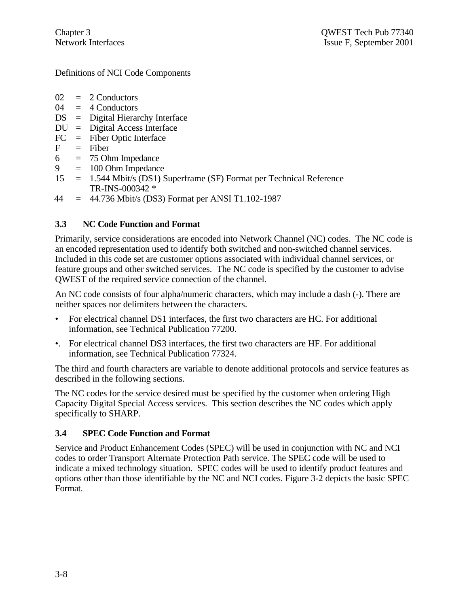Definitions of NCI Code Components

- $02 = 2$  Conductors
- $04 = 4$  Conductors
- DS = Digital Hierarchy Interface
- $DU =$  Digital Access Interface
- FC = Fiber Optic Interface
- $F =$ Fiber
- $6 = 75$  Ohm Impedance
- 9 = 100 Ohm Impedance
- 15 = 1.544 Mbit/s (DS1) Superframe (SF) Format per Technical Reference TR-INS-000342 \*
- $44 = 44.736$  Mbit/s (DS3) Format per ANSI T1.102-1987

# **3.3 NC Code Function and Format**

Primarily, service considerations are encoded into Network Channel (NC) codes. The NC code is an encoded representation used to identify both switched and non-switched channel services. Included in this code set are customer options associated with individual channel services, or feature groups and other switched services. The NC code is specified by the customer to advise QWEST of the required service connection of the channel.

An NC code consists of four alpha/numeric characters, which may include a dash (-). There are neither spaces nor delimiters between the characters.

- For electrical channel DS1 interfaces, the first two characters are HC. For additional information, see Technical Publication 77200.
- •. For electrical channel DS3 interfaces, the first two characters are HF. For additional information, see Technical Publication 77324.

The third and fourth characters are variable to denote additional protocols and service features as described in the following sections.

The NC codes for the service desired must be specified by the customer when ordering High Capacity Digital Special Access services. This section describes the NC codes which apply specifically to SHARP.

#### **3.4 SPEC Code Function and Format**

Service and Product Enhancement Codes (SPEC) will be used in conjunction with NC and NCI codes to order Transport Alternate Protection Path service. The SPEC code will be used to indicate a mixed technology situation. SPEC codes will be used to identify product features and options other than those identifiable by the NC and NCI codes. Figure 3-2 depicts the basic SPEC Format.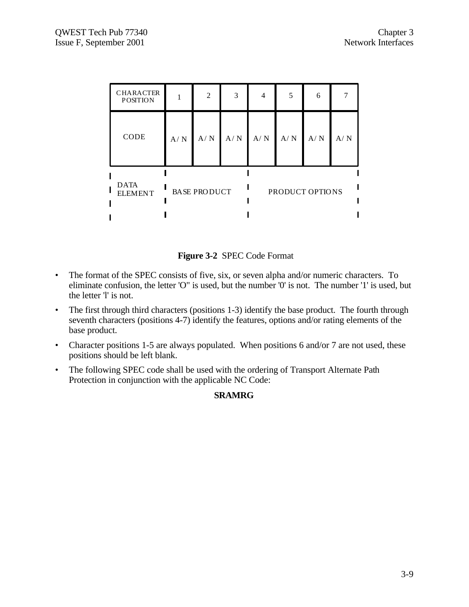| <b>CHARACTER</b><br><b>POSITION</b> |                     | $\mathfrak{2}$ | 3   | $\overline{4}$ | 5   | 6               |     |
|-------------------------------------|---------------------|----------------|-----|----------------|-----|-----------------|-----|
| CODE                                | A/N                 | A/N            | A/N | A/N            | A/N | A/N             | A/N |
| <b>DATA</b><br><b>ELEMENT</b>       | <b>BASE PRODUCT</b> |                |     |                |     | PRODUCT OPTIONS |     |



- The format of the SPEC consists of five, six, or seven alpha and/or numeric characters. To eliminate confusion, the letter 'O" is used, but the number '0' is not. The number '1' is used, but the letter 'l' is not.
- The first through third characters (positions 1-3) identify the base product. The fourth through seventh characters (positions 4-7) identify the features, options and/or rating elements of the base product.
- Character positions 1-5 are always populated. When positions 6 and/or 7 are not used, these positions should be left blank.
- The following SPEC code shall be used with the ordering of Transport Alternate Path Protection in conjunction with the applicable NC Code:

#### **SRAMRG**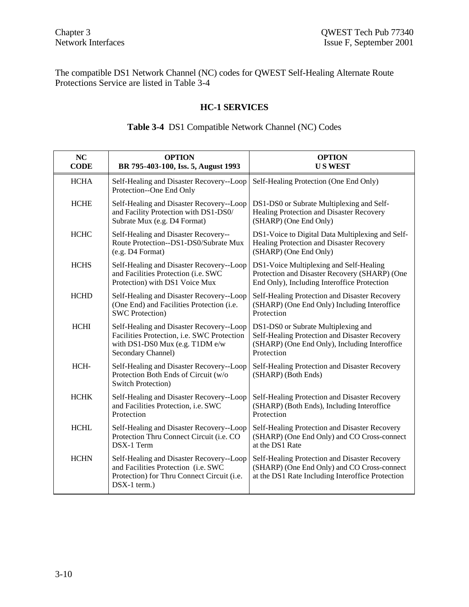The compatible DS1 Network Channel (NC) codes for QWEST Self-Healing Alternate Route Protections Service are listed in Table 3-4

# **HC-1 SERVICES**

| Table 3-4 DS1 Compatible Network Channel (NC) Codes |
|-----------------------------------------------------|
|-----------------------------------------------------|

| NC<br><b>CODE</b> | <b>OPTION</b><br>BR 795-403-100, Iss. 5, August 1993                                                                                            | <b>OPTION</b><br><b>US WEST</b>                                                                                                                     |  |  |  |
|-------------------|-------------------------------------------------------------------------------------------------------------------------------------------------|-----------------------------------------------------------------------------------------------------------------------------------------------------|--|--|--|
| <b>HCHA</b>       | Self-Healing and Disaster Recovery--Loop<br>Protection--One End Only                                                                            | Self-Healing Protection (One End Only)                                                                                                              |  |  |  |
| <b>HCHE</b>       | Self-Healing and Disaster Recovery--Loop<br>and Facility Protection with DS1-DS0/<br>Subrate Mux (e.g. D4 Format)                               | DS1-DS0 or Subrate Multiplexing and Self-<br>Healing Protection and Disaster Recovery<br>(SHARP) (One End Only)                                     |  |  |  |
| <b>HCHC</b>       | Self-Healing and Disaster Recovery--<br>Route Protection--DS1-DS0/Subrate Mux<br>$(e.g. D4$ Format)                                             | DS1-Voice to Digital Data Multiplexing and Self-<br>Healing Protection and Disaster Recovery<br>(SHARP) (One End Only)                              |  |  |  |
| <b>HCHS</b>       | Self-Healing and Disaster Recovery--Loop<br>and Facilities Protection (i.e. SWC<br>Protection) with DS1 Voice Mux                               | DS1-Voice Multiplexing and Self-Healing<br>Protection and Disaster Recovery (SHARP) (One<br>End Only), Including Interoffice Protection             |  |  |  |
| <b>HCHD</b>       | Self-Healing and Disaster Recovery--Loop<br>(One End) and Facilities Protection (i.e.<br><b>SWC Protection</b> )                                | Self-Healing Protection and Disaster Recovery<br>(SHARP) (One End Only) Including Interoffice<br>Protection                                         |  |  |  |
| <b>HCHI</b>       | Self-Healing and Disaster Recovery--Loop<br>Facilities Protection, i.e. SWC Protection<br>with DS1-DS0 Mux (e.g. T1DM e/w<br>Secondary Channel) | DS1-DS0 or Subrate Multiplexing and<br>Self-Healing Protection and Disaster Recovery<br>(SHARP) (One End Only), Including Interoffice<br>Protection |  |  |  |
| HCH-              | Self-Healing and Disaster Recovery--Loop<br>Protection Both Ends of Circuit (w/o<br><b>Switch Protection</b> )                                  | Self-Healing Protection and Disaster Recovery<br>(SHARP) (Both Ends)                                                                                |  |  |  |
| <b>HCHK</b>       | Self-Healing and Disaster Recovery--Loop<br>and Facilities Protection, i.e. SWC<br>Protection                                                   | Self-Healing Protection and Disaster Recovery<br>(SHARP) (Both Ends), Including Interoffice<br>Protection                                           |  |  |  |
| <b>HCHL</b>       | Self-Healing and Disaster Recovery--Loop<br>Protection Thru Connect Circuit (i.e. CO<br>DSX-1 Term                                              | Self-Healing Protection and Disaster Recovery<br>(SHARP) (One End Only) and CO Cross-connect<br>at the DS1 Rate                                     |  |  |  |
| <b>HCHN</b>       | Self-Healing and Disaster Recovery--Loop<br>and Facilities Protection (i.e. SWC<br>Protection) for Thru Connect Circuit (i.e.<br>$DSX-1$ term.) | Self-Healing Protection and Disaster Recovery<br>(SHARP) (One End Only) and CO Cross-connect<br>at the DS1 Rate Including Interoffice Protection    |  |  |  |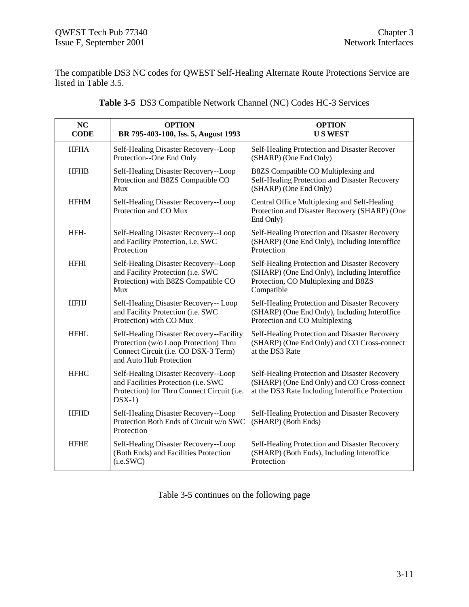The compatible DS3 NC codes for QWEST Self-Healing Alternate Route Protections Service are listed in Table 3.5.

| <b>NC</b><br><b>CODE</b> | <b>OPTION</b><br>BR 795-403-100, Iss. 5, August 1993                                                                                                 | <b>OPTION</b><br><b>US WEST</b>                                                                                                                      |  |  |  |
|--------------------------|------------------------------------------------------------------------------------------------------------------------------------------------------|------------------------------------------------------------------------------------------------------------------------------------------------------|--|--|--|
| <b>HFHA</b>              | Self-Healing Disaster Recovery--Loop<br>Protection--One End Only                                                                                     | Self-Healing Protection and Disaster Recover<br>(SHARP) (One End Only)                                                                               |  |  |  |
| <b>HFHB</b>              | Self-Healing Disaster Recovery--Loop<br>Protection and B8ZS Compatible CO<br>Mux                                                                     | B8ZS Compatible CO Multiplexing and<br>Self-Healing Protection and Disaster Recovery<br>(SHARP) (One End Only)                                       |  |  |  |
| <b>HFHM</b>              | Self-Healing Disaster Recovery--Loop<br>Protection and CO Mux                                                                                        | Central Office Multiplexing and Self-Healing<br>Protection and Disaster Recovery (SHARP) (One<br>End Only)                                           |  |  |  |
| HFH-                     | Self-Healing Disaster Recovery--Loop<br>and Facility Protection, i.e. SWC<br>Protection                                                              | Self-Healing Protection and Disaster Recovery<br>(SHARP) (One End Only), Including Interoffice<br>Protection                                         |  |  |  |
| <b>HFHI</b>              | Self-Healing Disaster Recovery--Loop<br>and Facility Protection (i.e. SWC<br>Protection) with B8ZS Compatible CO<br>Mux                              | Self-Healing Protection and Disaster Recovery<br>(SHARP) (One End Only), Including Interoffice<br>Protection, CO Multiplexing and B8ZS<br>Compatible |  |  |  |
| <b>HFHJ</b>              | Self-Healing Disaster Recovery-- Loop<br>and Facility Protection (i.e. SWC<br>Protection) with CO Mux                                                | Self-Healing Protection and Disaster Recovery<br>(SHARP) (One End Only), Including Interoffice<br>Protection and CO Multiplexing                     |  |  |  |
| <b>HFHL</b>              | Self-Healing Disaster Recovery--Facility<br>Protection (w/o Loop Protection) Thru<br>Connect Circuit (i.e. CO DSX-3 Term)<br>and Auto Hub Protection | Self-Healing Protection and Disaster Recovery<br>(SHARP) (One End Only) and CO Cross-connect<br>at the DS3 Rate                                      |  |  |  |
| <b>HFHC</b>              | Self-Healing Disaster Recovery--Loop<br>and Facilities Protection (i.e. SWC<br>Protection) for Thru Connect Circuit (i.e.<br>$DSX-1)$                | Self-Healing Protection and Disaster Recovery<br>(SHARP) (One End Only) and CO Cross-connect<br>at the DS3 Rate Including Interoffice Protection     |  |  |  |
| <b>HFHD</b>              | Self-Healing Disaster Recovery--Loop<br>Protection Both Ends of Circuit w/o SWC<br>Protection                                                        | Self-Healing Protection and Disaster Recovery<br>(SHARP) (Both Ends)                                                                                 |  |  |  |
| <b>HFHE</b>              | Self-Healing Disaster Recovery--Loop<br>(Both Ends) and Facilities Protection<br>(i.e.SWC)                                                           | Self-Healing Protection and Disaster Recovery<br>(SHARP) (Both Ends), Including Interoffice<br>Protection                                            |  |  |  |

| Table 3-5 DS3 Compatible Network Channel (NC) Codes HC-3 Services |  |  |  |  |  |  |  |  |
|-------------------------------------------------------------------|--|--|--|--|--|--|--|--|
|-------------------------------------------------------------------|--|--|--|--|--|--|--|--|

Table 3-5 continues on the following page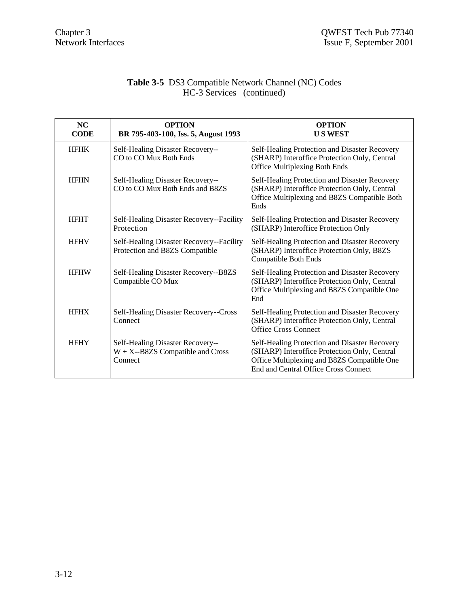#### **Table 3-5** DS3 Compatible Network Channel (NC) Codes HC-3 Services (continued)

| <b>NC</b><br><b>CODE</b> | <b>OPTION</b><br>BR 795-403-100, Iss. 5, August 1993                               | <b>OPTION</b><br><b>US WEST</b>                                                                                                                                                      |
|--------------------------|------------------------------------------------------------------------------------|--------------------------------------------------------------------------------------------------------------------------------------------------------------------------------------|
| <b>HFHK</b>              | Self-Healing Disaster Recovery--<br>CO to CO Mux Both Ends                         | Self-Healing Protection and Disaster Recovery<br>(SHARP) Interoffice Protection Only, Central<br><b>Office Multiplexing Both Ends</b>                                                |
| <b>HFHN</b>              | Self-Healing Disaster Recovery--<br>CO to CO Mux Both Ends and B8ZS                | Self-Healing Protection and Disaster Recovery<br>(SHARP) Interoffice Protection Only, Central<br>Office Multiplexing and B8ZS Compatible Both<br>Ends                                |
| <b>HFHT</b>              | Self-Healing Disaster Recovery--Facility<br>Protection                             | Self-Healing Protection and Disaster Recovery<br>(SHARP) Interoffice Protection Only                                                                                                 |
| <b>HFHV</b>              | Self-Healing Disaster Recovery--Facility<br>Protection and B8ZS Compatible         | Self-Healing Protection and Disaster Recovery<br>(SHARP) Interoffice Protection Only, B8ZS<br><b>Compatible Both Ends</b>                                                            |
| <b>HFHW</b>              | Self-Healing Disaster Recovery--B8ZS<br>Compatible CO Mux                          | Self-Healing Protection and Disaster Recovery<br>(SHARP) Interoffice Protection Only, Central<br>Office Multiplexing and B8ZS Compatible One<br>End                                  |
| <b>HFHX</b>              | Self-Healing Disaster Recovery--Cross<br>Connect                                   | Self-Healing Protection and Disaster Recovery<br>(SHARP) Interoffice Protection Only, Central<br><b>Office Cross Connect</b>                                                         |
| <b>HFHY</b>              | Self-Healing Disaster Recovery--<br>$W + X - B8ZS$ Compatible and Cross<br>Connect | Self-Healing Protection and Disaster Recovery<br>(SHARP) Interoffice Protection Only, Central<br>Office Multiplexing and B8ZS Compatible One<br>End and Central Office Cross Connect |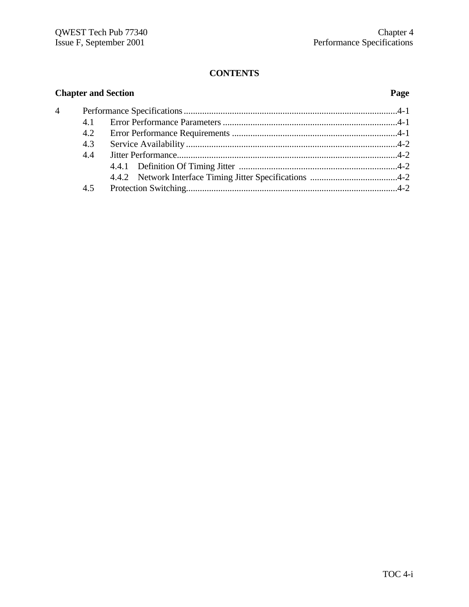# **CONTENTS**

| <b>Chapter and Section</b> |     | Page |  |  |
|----------------------------|-----|------|--|--|
| $\overline{4}$             |     |      |  |  |
|                            | 4.1 |      |  |  |
|                            | 4.2 |      |  |  |
|                            | 4.3 |      |  |  |
|                            | 4.4 |      |  |  |
|                            |     |      |  |  |
|                            |     |      |  |  |
|                            | 4.5 |      |  |  |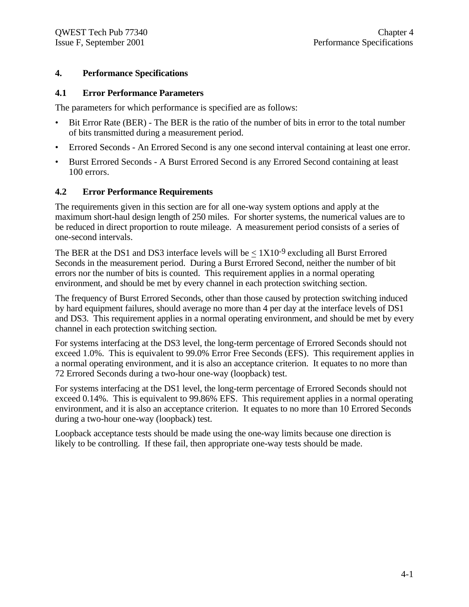#### **4. Performance Specifications**

#### **4.1 Error Performance Parameters**

The parameters for which performance is specified are as follows:

- Bit Error Rate (BER) The BER is the ratio of the number of bits in error to the total number of bits transmitted during a measurement period.
- Errored Seconds An Errored Second is any one second interval containing at least one error.
- Burst Errored Seconds A Burst Errored Second is any Errored Second containing at least 100 errors.

#### **4.2 Error Performance Requirements**

The requirements given in this section are for all one-way system options and apply at the maximum short-haul design length of 250 miles. For shorter systems, the numerical values are to be reduced in direct proportion to route mileage. A measurement period consists of a series of one-second intervals.

The BER at the DS1 and DS3 interface levels will be  $\langle 1X10^{-9}$  excluding all Burst Errored Seconds in the measurement period. During a Burst Errored Second, neither the number of bit errors nor the number of bits is counted. This requirement applies in a normal operating environment, and should be met by every channel in each protection switching section.

The frequency of Burst Errored Seconds, other than those caused by protection switching induced by hard equipment failures, should average no more than 4 per day at the interface levels of DS1 and DS3. This requirement applies in a normal operating environment, and should be met by every channel in each protection switching section.

For systems interfacing at the DS3 level, the long-term percentage of Errored Seconds should not exceed 1.0%. This is equivalent to 99.0% Error Free Seconds (EFS). This requirement applies in a normal operating environment, and it is also an acceptance criterion. It equates to no more than 72 Errored Seconds during a two-hour one-way (loopback) test.

For systems interfacing at the DS1 level, the long-term percentage of Errored Seconds should not exceed 0.14%. This is equivalent to 99.86% EFS. This requirement applies in a normal operating environment, and it is also an acceptance criterion. It equates to no more than 10 Errored Seconds during a two-hour one-way (loopback) test.

Loopback acceptance tests should be made using the one-way limits because one direction is likely to be controlling. If these fail, then appropriate one-way tests should be made.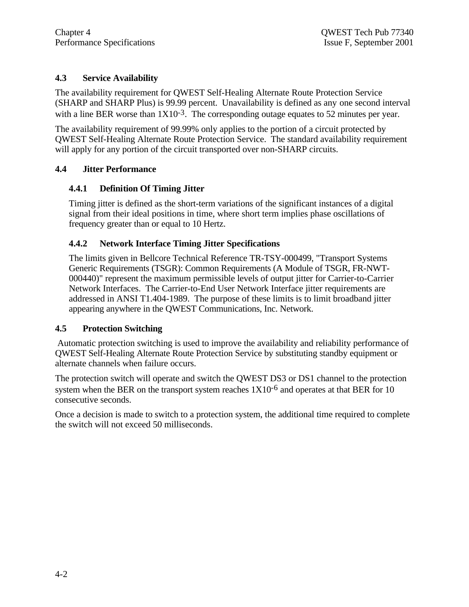# **4.3 Service Availability**

The availability requirement for QWEST Self-Healing Alternate Route Protection Service (SHARP and SHARP Plus) is 99.99 percent. Unavailability is defined as any one second interval with a line BER worse than  $1X10^{-3}$ . The corresponding outage equates to 52 minutes per year.

The availability requirement of 99.99% only applies to the portion of a circuit protected by QWEST Self-Healing Alternate Route Protection Service. The standard availability requirement will apply for any portion of the circuit transported over non-SHARP circuits.

#### **4.4 Jitter Performance**

#### **4.4.1 Definition Of Timing Jitter**

Timing jitter is defined as the short-term variations of the significant instances of a digital signal from their ideal positions in time, where short term implies phase oscillations of frequency greater than or equal to 10 Hertz.

#### **4.4.2 Network Interface Timing Jitter Specifications**

The limits given in Bellcore Technical Reference TR-TSY-000499, "Transport Systems Generic Requirements (TSGR): Common Requirements (A Module of TSGR, FR-NWT-000440)" represent the maximum permissible levels of output jitter for Carrier-to-Carrier Network Interfaces. The Carrier-to-End User Network Interface jitter requirements are addressed in ANSI T1.404-1989. The purpose of these limits is to limit broadband jitter appearing anywhere in the QWEST Communications, Inc. Network.

#### **4.5 Protection Switching**

 Automatic protection switching is used to improve the availability and reliability performance of QWEST Self-Healing Alternate Route Protection Service by substituting standby equipment or alternate channels when failure occurs.

The protection switch will operate and switch the QWEST DS3 or DS1 channel to the protection system when the BER on the transport system reaches  $1X10^{-6}$  and operates at that BER for 10 consecutive seconds.

Once a decision is made to switch to a protection system, the additional time required to complete the switch will not exceed 50 milliseconds.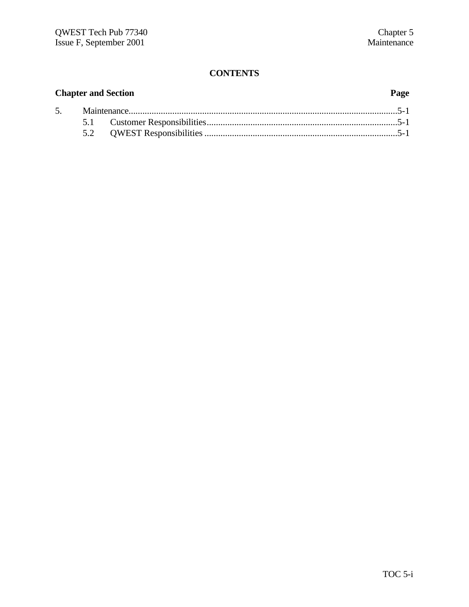# **CONTENTS**

| <b>Chapter and Section</b> |  | Page |  |
|----------------------------|--|------|--|
|                            |  |      |  |
|                            |  |      |  |
|                            |  |      |  |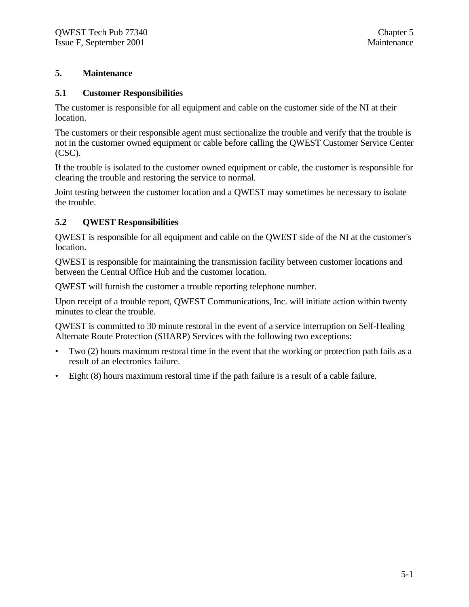#### **5. Maintenance**

#### **5.1 Customer Responsibilities**

The customer is responsible for all equipment and cable on the customer side of the NI at their location.

The customers or their responsible agent must sectionalize the trouble and verify that the trouble is not in the customer owned equipment or cable before calling the QWEST Customer Service Center (CSC).

If the trouble is isolated to the customer owned equipment or cable, the customer is responsible for clearing the trouble and restoring the service to normal.

Joint testing between the customer location and a QWEST may sometimes be necessary to isolate the trouble.

#### **5.2 QWEST Responsibilities**

QWEST is responsible for all equipment and cable on the QWEST side of the NI at the customer's location.

QWEST is responsible for maintaining the transmission facility between customer locations and between the Central Office Hub and the customer location.

QWEST will furnish the customer a trouble reporting telephone number.

Upon receipt of a trouble report, QWEST Communications, Inc. will initiate action within twenty minutes to clear the trouble.

QWEST is committed to 30 minute restoral in the event of a service interruption on Self-Healing Alternate Route Protection (SHARP) Services with the following two exceptions:

- Two (2) hours maximum restoral time in the event that the working or protection path fails as a result of an electronics failure.
- Eight (8) hours maximum restoral time if the path failure is a result of a cable failure.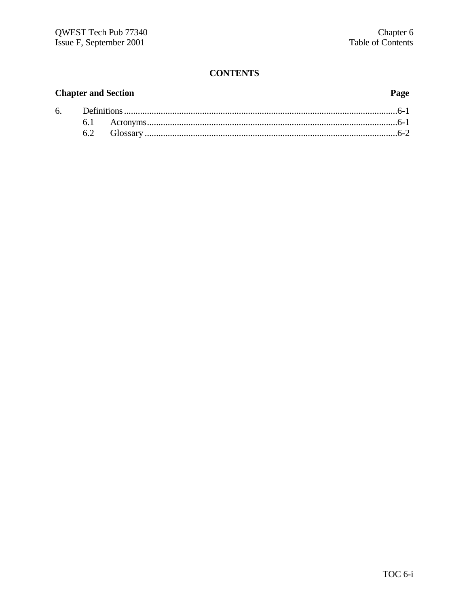# **CONTENTS**

#### **Chapter and Section** 6. 6.1 6.2

#### Page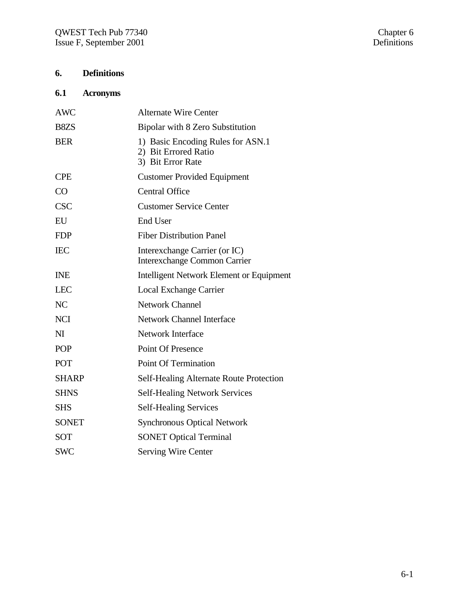# **6. Definitions**

# **6.1 Acronyms**

| <b>AWC</b>   | <b>Alternate Wire Center</b>                                                   |
|--------------|--------------------------------------------------------------------------------|
| B8ZS         | Bipolar with 8 Zero Substitution                                               |
| <b>BER</b>   | 1) Basic Encoding Rules for ASN.1<br>2) Bit Errored Ratio<br>3) Bit Error Rate |
| <b>CPE</b>   | <b>Customer Provided Equipment</b>                                             |
| CO           | <b>Central Office</b>                                                          |
| <b>CSC</b>   | <b>Customer Service Center</b>                                                 |
| EU           | <b>End User</b>                                                                |
| <b>FDP</b>   | <b>Fiber Distribution Panel</b>                                                |
| <b>IEC</b>   | Interexchange Carrier (or IC)<br><b>Interexchange Common Carrier</b>           |
| <b>INE</b>   | Intelligent Network Element or Equipment                                       |
| <b>LEC</b>   | Local Exchange Carrier                                                         |
| NC           | <b>Network Channel</b>                                                         |
| <b>NCI</b>   | <b>Network Channel Interface</b>                                               |
| NI           | <b>Network Interface</b>                                                       |
| <b>POP</b>   | <b>Point Of Presence</b>                                                       |
| POT          | <b>Point Of Termination</b>                                                    |
| <b>SHARP</b> | Self-Healing Alternate Route Protection                                        |
| <b>SHNS</b>  | <b>Self-Healing Network Services</b>                                           |
| <b>SHS</b>   | <b>Self-Healing Services</b>                                                   |
| <b>SONET</b> | <b>Synchronous Optical Network</b>                                             |
| <b>SOT</b>   | <b>SONET Optical Terminal</b>                                                  |
| <b>SWC</b>   | <b>Serving Wire Center</b>                                                     |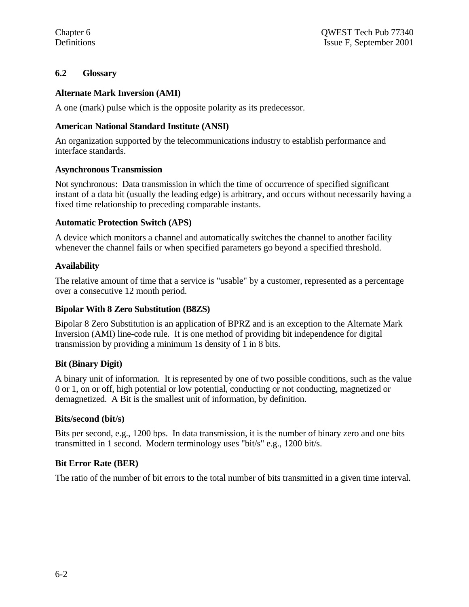#### **6.2 Glossary**

### **Alternate Mark Inversion (AMI)**

A one (mark) pulse which is the opposite polarity as its predecessor.

### **American National Standard Institute (ANSI)**

An organization supported by the telecommunications industry to establish performance and interface standards.

#### **Asynchronous Transmission**

Not synchronous: Data transmission in which the time of occurrence of specified significant instant of a data bit (usually the leading edge) is arbitrary, and occurs without necessarily having a fixed time relationship to preceding comparable instants.

### **Automatic Protection Switch (APS)**

A device which monitors a channel and automatically switches the channel to another facility whenever the channel fails or when specified parameters go beyond a specified threshold.

### **Availability**

The relative amount of time that a service is "usable" by a customer, represented as a percentage over a consecutive 12 month period.

#### **Bipolar With 8 Zero Substitution (B8ZS)**

Bipolar 8 Zero Substitution is an application of BPRZ and is an exception to the Alternate Mark Inversion (AMI) line-code rule. It is one method of providing bit independence for digital transmission by providing a minimum 1s density of 1 in 8 bits.

#### **Bit (Binary Digit)**

A binary unit of information. It is represented by one of two possible conditions, such as the value 0 or 1, on or off, high potential or low potential, conducting or not conducting, magnetized or demagnetized. A Bit is the smallest unit of information, by definition.

#### **Bits/second (bit/s)**

Bits per second, e.g., 1200 bps. In data transmission, it is the number of binary zero and one bits transmitted in 1 second. Modern terminology uses "bit/s" e.g., 1200 bit/s.

# **Bit Error Rate (BER)**

The ratio of the number of bit errors to the total number of bits transmitted in a given time interval.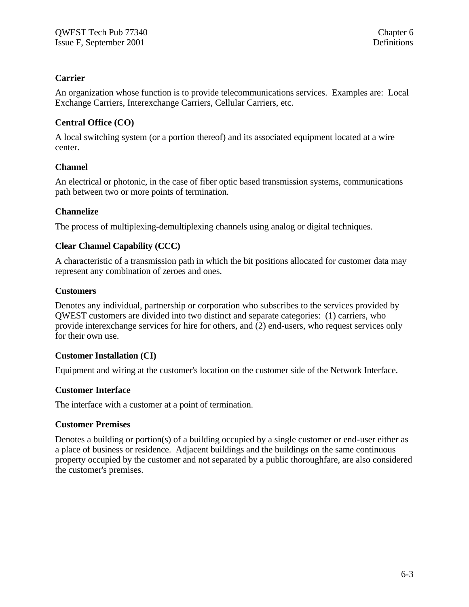#### **Carrier**

An organization whose function is to provide telecommunications services. Examples are: Local Exchange Carriers, Interexchange Carriers, Cellular Carriers, etc.

#### **Central Office (CO)**

A local switching system (or a portion thereof) and its associated equipment located at a wire center.

#### **Channel**

An electrical or photonic, in the case of fiber optic based transmission systems, communications path between two or more points of termination.

#### **Channelize**

The process of multiplexing-demultiplexing channels using analog or digital techniques.

#### **Clear Channel Capability (CCC)**

A characteristic of a transmission path in which the bit positions allocated for customer data may represent any combination of zeroes and ones.

#### **Customers**

Denotes any individual, partnership or corporation who subscribes to the services provided by QWEST customers are divided into two distinct and separate categories: (1) carriers, who provide interexchange services for hire for others, and (2) end-users, who request services only for their own use.

#### **Customer Installation (CI)**

Equipment and wiring at the customer's location on the customer side of the Network Interface.

#### **Customer Interface**

The interface with a customer at a point of termination.

#### **Customer Premises**

Denotes a building or portion(s) of a building occupied by a single customer or end-user either as a place of business or residence. Adjacent buildings and the buildings on the same continuous property occupied by the customer and not separated by a public thoroughfare, are also considered the customer's premises.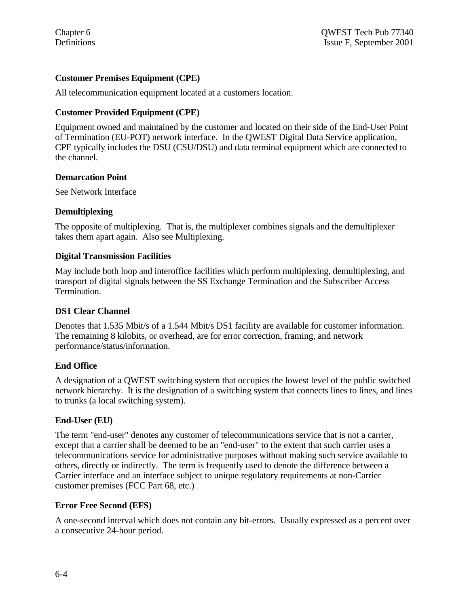#### **Customer Premises Equipment (CPE)**

All telecommunication equipment located at a customers location.

#### **Customer Provided Equipment (CPE)**

Equipment owned and maintained by the customer and located on their side of the End-User Point of Termination (EU-POT) network interface. In the QWEST Digital Data Service application, CPE typically includes the DSU (CSU/DSU) and data terminal equipment which are connected to the channel.

#### **Demarcation Point**

See Network Interface

#### **Demultiplexing**

The opposite of multiplexing. That is, the multiplexer combines signals and the demultiplexer takes them apart again. Also see Multiplexing.

#### **Digital Transmission Facilities**

May include both loop and interoffice facilities which perform multiplexing, demultiplexing, and transport of digital signals between the SS Exchange Termination and the Subscriber Access Termination.

#### **DS1 Clear Channel**

Denotes that 1.535 Mbit/s of a 1.544 Mbit/s DS1 facility are available for customer information. The remaining 8 kilobits, or overhead, are for error correction, framing, and network performance/status/information.

#### **End Office**

A designation of a QWEST switching system that occupies the lowest level of the public switched network hierarchy. It is the designation of a switching system that connects lines to lines, and lines to trunks (a local switching system).

#### **End-User (EU)**

The term "end-user" denotes any customer of telecommunications service that is not a carrier, except that a carrier shall be deemed to be an "end-user" to the extent that such carrier uses a telecommunications service for administrative purposes without making such service available to others, directly or indirectly. The term is frequently used to denote the difference between a Carrier interface and an interface subject to unique regulatory requirements at non-Carrier customer premises (FCC Part 68, etc.)

#### **Error Free Second (EFS)**

A one-second interval which does not contain any bit-errors. Usually expressed as a percent over a consecutive 24-hour period.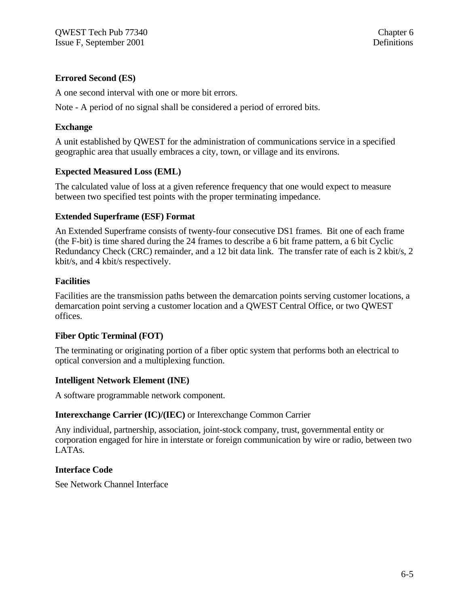#### **Errored Second (ES)**

A one second interval with one or more bit errors.

Note - A period of no signal shall be considered a period of errored bits.

#### **Exchange**

A unit established by QWEST for the administration of communications service in a specified geographic area that usually embraces a city, town, or village and its environs.

#### **Expected Measured Loss (EML)**

The calculated value of loss at a given reference frequency that one would expect to measure between two specified test points with the proper terminating impedance.

#### **Extended Superframe (ESF) Format**

An Extended Superframe consists of twenty-four consecutive DS1 frames. Bit one of each frame (the F-bit) is time shared during the 24 frames to describe a 6 bit frame pattern, a 6 bit Cyclic Redundancy Check (CRC) remainder, and a 12 bit data link. The transfer rate of each is 2 kbit/s, 2 kbit/s, and 4 kbit/s respectively.

#### **Facilities**

Facilities are the transmission paths between the demarcation points serving customer locations, a demarcation point serving a customer location and a QWEST Central Office, or two QWEST offices.

#### **Fiber Optic Terminal (FOT)**

The terminating or originating portion of a fiber optic system that performs both an electrical to optical conversion and a multiplexing function.

#### **Intelligent Network Element (INE)**

A software programmable network component.

#### **Interexchange Carrier (IC)/(IEC)** or Interexchange Common Carrier

Any individual, partnership, association, joint-stock company, trust, governmental entity or corporation engaged for hire in interstate or foreign communication by wire or radio, between two LATAs.

#### **Interface Code**

See Network Channel Interface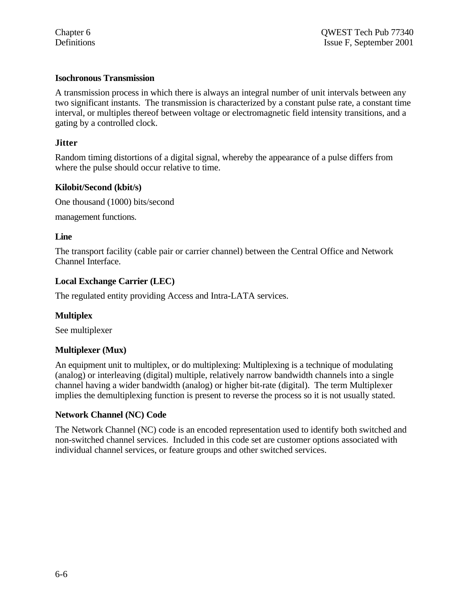#### **Isochronous Transmission**

A transmission process in which there is always an integral number of unit intervals between any two significant instants. The transmission is characterized by a constant pulse rate, a constant time interval, or multiples thereof between voltage or electromagnetic field intensity transitions, and a gating by a controlled clock.

#### **Jitter**

Random timing distortions of a digital signal, whereby the appearance of a pulse differs from where the pulse should occur relative to time.

#### **Kilobit/Second (kbit/s)**

One thousand (1000) bits/second

management functions.

#### **Line**

The transport facility (cable pair or carrier channel) between the Central Office and Network Channel Interface.

#### **Local Exchange Carrier (LEC)**

The regulated entity providing Access and Intra-LATA services.

#### **Multiplex**

See multiplexer

#### **Multiplexer (Mux)**

An equipment unit to multiplex, or do multiplexing: Multiplexing is a technique of modulating (analog) or interleaving (digital) multiple, relatively narrow bandwidth channels into a single channel having a wider bandwidth (analog) or higher bit-rate (digital). The term Multiplexer implies the demultiplexing function is present to reverse the process so it is not usually stated.

#### **Network Channel (NC) Code**

The Network Channel (NC) code is an encoded representation used to identify both switched and non-switched channel services. Included in this code set are customer options associated with individual channel services, or feature groups and other switched services.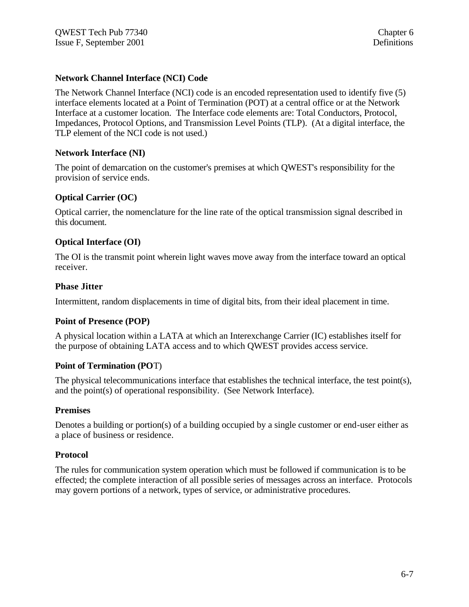#### **Network Channel Interface (NCI) Code**

The Network Channel Interface (NCI) code is an encoded representation used to identify five (5) interface elements located at a Point of Termination (POT) at a central office or at the Network Interface at a customer location. The Interface code elements are: Total Conductors, Protocol, Impedances, Protocol Options, and Transmission Level Points (TLP). (At a digital interface, the TLP element of the NCI code is not used.)

#### **Network Interface (NI)**

The point of demarcation on the customer's premises at which QWEST's responsibility for the provision of service ends.

#### **Optical Carrier (OC)**

Optical carrier, the nomenclature for the line rate of the optical transmission signal described in this document.

#### **Optical Interface (OI)**

The OI is the transmit point wherein light waves move away from the interface toward an optical receiver.

#### **Phase Jitter**

Intermittent, random displacements in time of digital bits, from their ideal placement in time.

#### **Point of Presence (POP)**

A physical location within a LATA at which an Interexchange Carrier (IC) establishes itself for the purpose of obtaining LATA access and to which QWEST provides access service.

#### **Point of Termination (PO**T)

The physical telecommunications interface that establishes the technical interface, the test point(s), and the point(s) of operational responsibility. (See Network Interface).

#### **Premises**

Denotes a building or portion(s) of a building occupied by a single customer or end-user either as a place of business or residence.

#### **Protocol**

The rules for communication system operation which must be followed if communication is to be effected; the complete interaction of all possible series of messages across an interface. Protocols may govern portions of a network, types of service, or administrative procedures.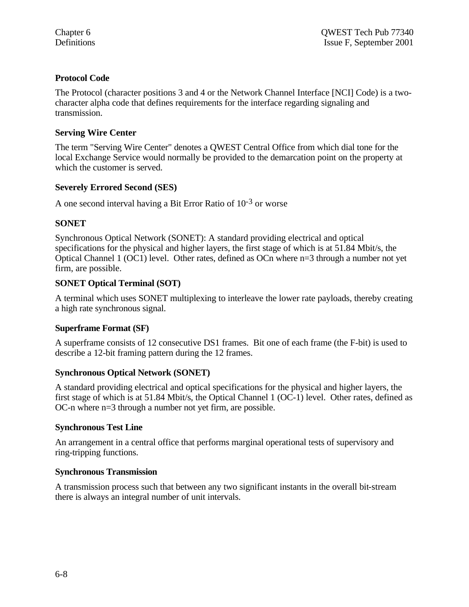#### **Protocol Code**

The Protocol (character positions 3 and 4 or the Network Channel Interface [NCI] Code) is a twocharacter alpha code that defines requirements for the interface regarding signaling and transmission.

#### **Serving Wire Center**

The term "Serving Wire Center" denotes a QWEST Central Office from which dial tone for the local Exchange Service would normally be provided to the demarcation point on the property at which the customer is served.

### **Severely Errored Second (SES)**

A one second interval having a Bit Error Ratio of 10-3 or worse

# **SONET**

Synchronous Optical Network (SONET): A standard providing electrical and optical specifications for the physical and higher layers, the first stage of which is at 51.84 Mbit/s, the Optical Channel 1 (OC1) level. Other rates, defined as OCn where n=3 through a number not yet firm, are possible.

#### **SONET Optical Terminal (SOT)**

A terminal which uses SONET multiplexing to interleave the lower rate payloads, thereby creating a high rate synchronous signal.

#### **Superframe Format (SF)**

A superframe consists of 12 consecutive DS1 frames. Bit one of each frame (the F-bit) is used to describe a 12-bit framing pattern during the 12 frames.

#### **Synchronous Optical Network (SONET)**

A standard providing electrical and optical specifications for the physical and higher layers, the first stage of which is at 51.84 Mbit/s, the Optical Channel 1 (OC-1) level. Other rates, defined as OC-n where n=3 through a number not yet firm, are possible.

#### **Synchronous Test Line**

An arrangement in a central office that performs marginal operational tests of supervisory and ring-tripping functions.

#### **Synchronous Transmission**

A transmission process such that between any two significant instants in the overall bit-stream there is always an integral number of unit intervals.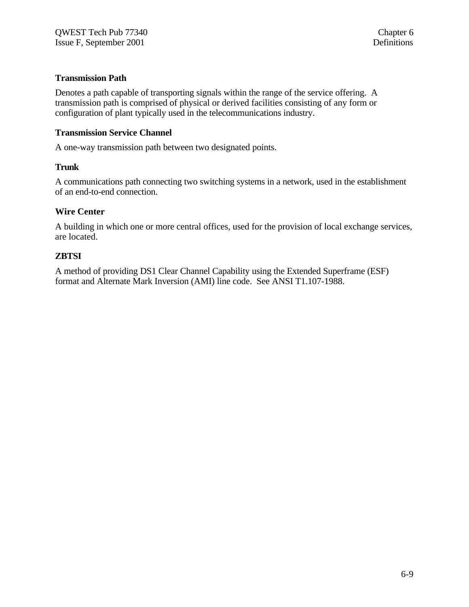#### **Transmission Path**

Denotes a path capable of transporting signals within the range of the service offering. A transmission path is comprised of physical or derived facilities consisting of any form or configuration of plant typically used in the telecommunications industry.

#### **Transmission Service Channel**

A one-way transmission path between two designated points.

#### **Trunk**

A communications path connecting two switching systems in a network, used in the establishment of an end-to-end connection.

#### **Wire Center**

A building in which one or more central offices, used for the provision of local exchange services, are located.

#### **ZBTSI**

A method of providing DS1 Clear Channel Capability using the Extended Superframe (ESF) format and Alternate Mark Inversion (AMI) line code. See ANSI T1.107-1988.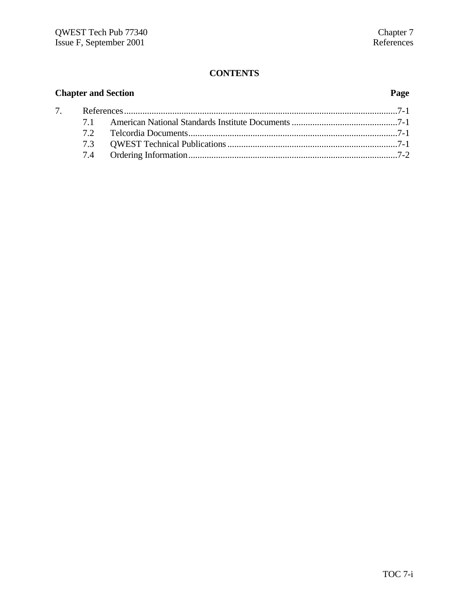# **CONTENTS**

| <b>Chapter and Section</b> |  | Page |  |
|----------------------------|--|------|--|
|                            |  |      |  |
|                            |  |      |  |
|                            |  |      |  |
|                            |  |      |  |
|                            |  |      |  |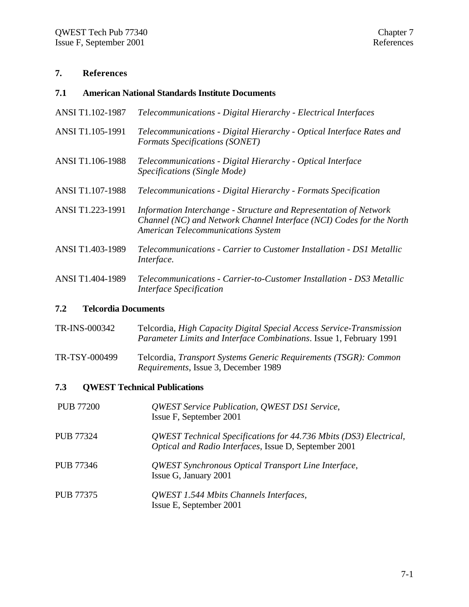#### **7. References**

#### **7.1 American National Standards Institute Documents**

- ANSI T1.102-1987 *Telecommunications Digital Hierarchy Electrical Interfaces*
- ANSI T1.105-1991 *Telecommunications Digital Hierarchy Optical Interface Rates and Formats Specifications (SONET)*
- ANSI T1.106-1988 *Telecommunications Digital Hierarchy Optical Interface Specifications (Single Mode)*
- ANSI T1.107-1988 *Telecommunications Digital Hierarchy Formats Specification*
- ANSI T1.223-1991 *Information Interchange Structure and Representation of Network Channel (NC) and Network Channel Interface (NCI) Codes for the North American Telecommunications System*
- ANSI T1.403-1989 *Telecommunications Carrier to Customer Installation DS1 Metallic Interface.*
- ANSI T1.404-1989 *Telecommunications Carrier-to-Customer Installation DS3 Metallic Interface Specification*

#### **7.2 Telcordia Documents**

- TR-INS-000342 Telcordia, *High Capacity Digital Special Access Service-Transmission Parameter Limits and Interface Combinations*. Issue 1, February 1991
- TR-TSY-000499 Telcordia, *Transport Systems Generic Requirements (TSGR): Common Requirements*, Issue 3, December 1989

#### **7.3 QWEST Technical Publications**

| <b>PUB 77200</b> | <b>QWEST Service Publication, QWEST DS1 Service,</b><br>Issue F, September 2001                                            |
|------------------|----------------------------------------------------------------------------------------------------------------------------|
| <b>PUB 77324</b> | QWEST Technical Specifications for 44.736 Mbits (DS3) Electrical,<br>Optical and Radio Interfaces, Issue D, September 2001 |
| PUB 77346        | <b>QWEST Synchronous Optical Transport Line Interface,</b><br>Issue G, January 2001                                        |
| PUB 77375        | QWEST 1.544 Mbits Channels Interfaces,<br>Issue E, September 2001                                                          |